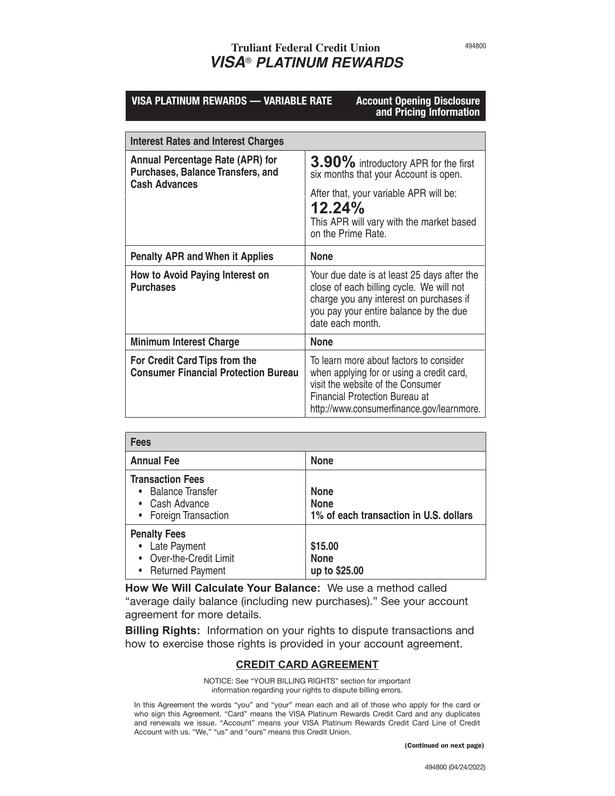# **Truliant Federal Credit Union** *VISA*® *PLATINUM REWARDS*

| <b>VISA PLATINUM REWARDS - VARIABLE RATE</b>                                                                | <b>Account Opening Disclosure</b><br>and Pricing Information                                                                                                                                                    |  |
|-------------------------------------------------------------------------------------------------------------|-----------------------------------------------------------------------------------------------------------------------------------------------------------------------------------------------------------------|--|
|                                                                                                             |                                                                                                                                                                                                                 |  |
| <b>Interest Rates and Interest Charges</b>                                                                  |                                                                                                                                                                                                                 |  |
| <b>Annual Percentage Rate (APR) for</b><br><b>Purchases, Balance Transfers, and</b><br><b>Cash Advances</b> | 3.90% introductory APR for the first<br>six months that your Account is open.                                                                                                                                   |  |
|                                                                                                             | After that, your variable APR will be:<br>12.24%<br>This APR will vary with the market based<br>on the Prime Rate.                                                                                              |  |
| <b>Penalty APR and When it Applies</b>                                                                      | <b>None</b>                                                                                                                                                                                                     |  |
| How to Avoid Paying Interest on<br><b>Purchases</b>                                                         | Your due date is at least 25 days after the<br>close of each billing cycle. We will not<br>charge you any interest on purchases if<br>you pay your entire balance by the due<br>date each month.                |  |
| <b>Minimum Interest Charge</b>                                                                              | <b>None</b>                                                                                                                                                                                                     |  |
| For Credit Card Tips from the<br><b>Consumer Financial Protection Bureau</b>                                | To learn more about factors to consider<br>when applying for or using a credit card,<br>visit the website of the Consumer<br><b>Financial Protection Bureau at</b><br>http://www.consumerfinance.gov/learnmore. |  |

| <b>Fees</b>                                                                                   |                                                                      |  |
|-----------------------------------------------------------------------------------------------|----------------------------------------------------------------------|--|
| <b>Annual Fee</b>                                                                             | <b>None</b>                                                          |  |
| <b>Transaction Fees</b><br><b>Balance Transfer</b><br>• Cash Advance<br>• Foreign Transaction | <b>None</b><br><b>None</b><br>1% of each transaction in U.S. dollars |  |
| <b>Penalty Fees</b><br>• Late Payment<br>Over-the-Credit Limit<br>• Returned Payment          | \$15.00<br><b>None</b><br>up to \$25.00                              |  |

**How We Will Calculate Your Balance:** We use a method called "average daily balance (including new purchases)." See your account agreement for more details.

**Billing Rights:** Information on your rights to dispute transactions and how to exercise those rights is provided in your account agreement.

## **CREDIT CARD AGREEMENT**

NOTICE: See "YOUR BILLING RIGHTS" section for important information regarding your rights to dispute billing errors.

In this Agreement the words "you" and "your" mean each and all of those who apply for the card or who sign this Agreement. "Card" means the VISA Platinum Rewards Credit Card and any duplicates and renewals we issue. "Account" means your VISA Platinum Rewards Credit Card Line of Credit Account with us. "We," "us" and "ours" means this Credit Union.

(Continued on next page)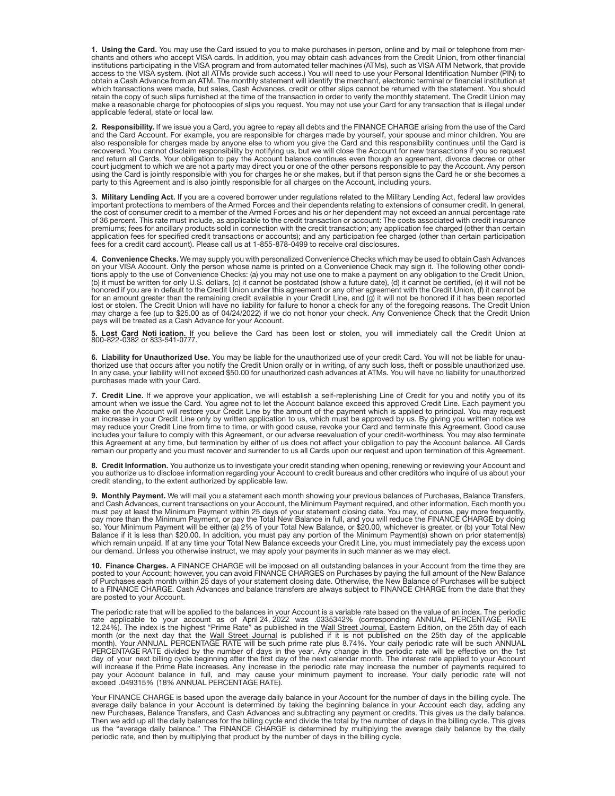**1. Using the Card.** You may use the Card issued to you to make purchases in person, online and by mail or telephone from merchants and others who accept VISA cards. In addition, you may obtain cash advances from the Credit Union, from other financial institutions participating in the VISA program and from automated teller machines (ATMs), such as VISA ATM Network, that provide access to the VISA system. (Not all ATMs provide such access.) You will need to use your Personal Identification Number (PIN) to obtain a Cash Advance from an ATM. The monthly statement will identify the merchant, electronic terminal or financial institution at which transactions were made, but sales, Cash Advances, credit or other slips cannot be returned with the statement. You should retain the copy of such slips furnished at the time of the transaction in order to verify the monthly statement. The Credit Union may<br>make a reasonable charge for photocopies of slips you request. You may not use your Card applicable federal, state or local law.

**2. Responsibility.** If we issue you a Card, you agree to repay all debts and the FINANCE CHARGE arising from the use of the Card and the Card Account. For example, you are responsible for charges made by yourself, your spouse and minor children. You are<br>also responsible for charges made by anyone else to whom you give the Card and this responsibilit recovered. You cannot disclaim responsibility by notifying us, but we will close the Account for new transactions if you so request and return all Cards. Your obligation to pay the Account balance continues even though an agreement, divorce decree or other court judgment to which we are not a party may direct you or one of the other persons responsible to pay the Account. Any person using the Card is jointly responsible with you for charges he or she makes, but if that person signs the Card he or she becomes a party to this Agreement and is also jointly responsible for all charges on the Account, including yours.

**3. Military Lending Act.** If you are a covered borrower under regulations related to the Military Lending Act, federal law provides<br>important protections to members of the Armed Forces and their dependents relating to ext the cost of consumer credit to a member of the Armed Forces and his or her dependent may not exceed an annual percentage rate of 36 percent. This rate must include, as applicable to the credit transaction or account: The costs associated with credit insurance premiums; fees for ancillary products sold in connection with the credit transaction; any application fee charged (other than certain application fees for specified credit transactions or accounts); and any participation fee charged (other than certain participation fees for a credit card account). Please call us at 1-855-878-0499 to receive oral disclosures.

**4. Convenience Checks.** We may supply you with personalized Convenience Checks which may be used to obtain Cash Advances on your VISA Account. Only the person whose name is printed on a Convenience Check may sign it. The following other conditions apply to the use of Convenience Checks: (a) you may not use one to make a payment on any obligation to the Credit Union, (b) it must be written for only U.S. dollars, (c) it cannot be postdated (show a future date), (d) it cannot be certified, (e) it will not be<br>honored if you are in default to the Credit Union under this agreement or any ot for an amount greater than the remaining credit available in your Credit Line, and (g) it will not be honored if it has been reported<br>lost or stolen. The Credit Union will have no liability for failure to honor a check for pays will be treated as a Cash Advance for your Account.

**5. Lost Card Noti ication.** If you believe the Card has been lost or stolen, you will immediately call the Credit Union at 800-822-0382 or 833-541-0777.

**6. Liability for Unauthorized Use.** You may be liable for the unauthorized use of your credit Card. You will not be liable for unauthorized use that occurs after you notify the Credit Union orally or in writing, of any such loss, theft or possible unauthorized use.<br>In any case, your liability will not exceed \$50.00 for unauthorized cash advances at AT purchases made with your Card.

**7. Credit Line.** If we approve your application, we will establish a self-replenishing Line of Credit for you and notify you of its amount when we issue the Card. You agree not to let the Account balance exceed this approved Credit Line. Each payment you make on the Account will restore your Credit Line by the amount of the payment which is applied to principal. You may request an increase in your Credit Line only by written application to us, which must be approved by us. By giving you written notice we<br>may reduce your Credit Line from time to time, or with good cause, revoke your Card and termi includes your failure to comply with this Agreement, or our adverse reevaluation of your credit-worthiness. You may also terminate this Agreement at any time, but termination by either of us does not affect your obligation to pay the Account balance. All Cards remain our property and you must recover and surrender to us all Cards upon our request and upon termination of this Agreement.

**8. Credit Information.** You authorize us to investigate your credit standing when opening, renewing or reviewing your Account and you authorize us to disclose information regarding your Account to credit bureaus and other creditors who inquire of us about your credit standing, to the extent authorized by applicable law.

**9. Monthly Payment.** We will mail you a statement each month showing your previous balances of Purchases, Balance Transfers,<br>and Cash Advances, current transactions on your Account, the Minimum Payment required, and other must pay at least the Minimum Payment within 25 days of your statement closing date. You may, of course, pay more frequently, pay more than the Minimum Payment, or pay the Total New Balance in full, and you will reduce the FINANCE CHARGE by doing<br>so. Your Minimum Payment will be either (a) 2% of your Total New Balance, or \$20.00, whichever is gre Balance if it is less than \$20.00. In addition, you must pay any portion of the Minimum Payment(s) shown on prior statement(s)<br>which remain unpaid. If at any time your Total New Balance exceeds your Credit Line, you must i our demand. Unless you otherwise instruct, we may apply your payments in such manner as we may elect.

**10. Finance Charges.** A FINANCE CHARGE will be imposed on all outstanding balances in your Account from the time they are<br>posted to your Account; however, you can avoid FINANCE CHARGES on Purchases by paying the full amou of Purchases each month within 25 days of your statement closing date. Otherwise, the New Balance of Purchases will be subject to a FINANCE CHARGE. Cash Advances and balance transfers are always subject to FINANCE CHARGE from the date that they are posted to your Account.

The periodic rate that will be applied to the balances in your Account is a variable rate based on the value of an index. The periodic rate applicable to your account as of April 24, 2022 was .0335342% (corresponding ANNUAL PERCENTAGE RATE<br>12.24%). The index is the highest "Prime Rate" as published in the Wall Street Journal, Eastern Edition, on the 25th month (or the next day that the <u>Wall Street Journal</u> is published if it is not published on the 25th day of the applicable<br>month). Your ANNUAL PERCENTAGE RATE will be such prime rate plus 8.74%. Your daily periodic rate w day of your next billing cycle beginning after the first day of the next calendar month. The interest rate applied to your Account<br>will increase if the Prime Rate increases. Any increase in the periodic rate may increase t pay your Account balance in full, and may cause your minimum payment to increase. Your daily periodic rate will not exceed .049315% (18% ANNUAL PERCENTAGE RATE).

Your FINANCE CHARGE is based upon the average daily balance in your Account for the number of days in the billing cycle. The average daily balance in your Account is determined by taking the beginning balance in your Account each day, adding any new Purchases, Balance Transfers, and Cash Advances and subtracting any payment or credits. This gives us the daily balance. Then we add up all the daily balances for the billing cycle and divide the total by the number of days in the billing cycle. This gives<br>us the "average daily balance." The FINANCE CHARGE is determined by multiplying the av periodic rate, and then by multiplying that product by the number of days in the billing cycle.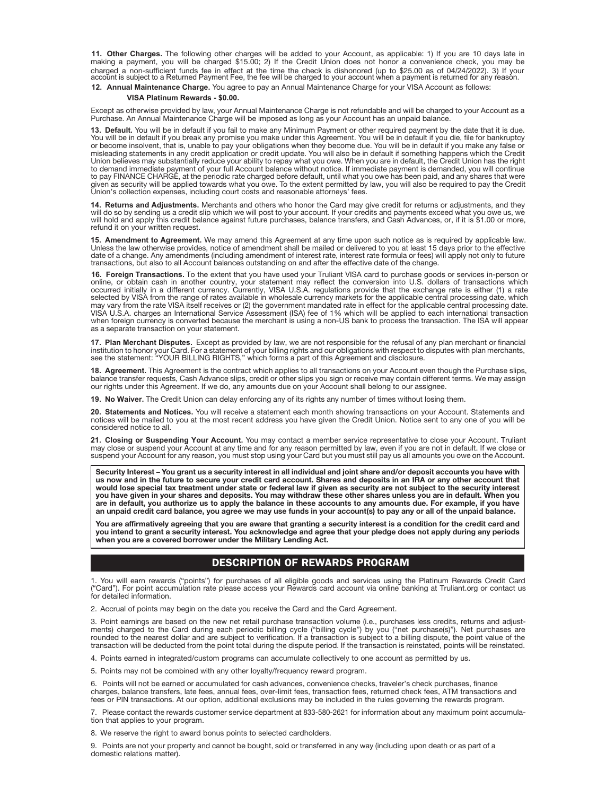**11. Other Charges.** The following other charges will be added to your Account, as applicable: 1) If you are 10 days late in<br>making a payment, you will be charged \$15.00; 2) If the Credit Union does not honor a convenience charged a non-sufficient funds fee in effect at the time the check is dishonored (up to \$25.00 as of 04/24/2022). 3) If your<br>account is subject to a Returned Payment Fee, the fee will be charged to your account when a paym

### **12. Annual Maintenance Charge.** You agree to pay an Annual Maintenance Charge for your VISA Account as follows:

### **VISA Platinum Rewards - \$0.00.**

Except as otherwise provided by law, your Annual Maintenance Charge is not refundable and will be charged to your Account as a Purchase. An Annual Maintenance Charge will be imposed as long as your Account has an unpaid balance.

**13. Default.** You will be in default if you fail to make any Minimum Payment or other required payment by the date that it is due.<br>You will be in default if you break any promise you make under this Agreement. You will be or become insolvent, that is, unable to pay your obligations when they become due. You will be in default if you make any false or misleading statements in any credit application or credit update. You will also be in default if something happens which the Credit Union believes may substantially reduce your ability to repay what you owe. When you are in default, the Credit Union has the right to demand immediate payment of your full Account balance without notice. If immediate payment is demanded, you will continue to pay FINANCE CHARGE, at the periodic rate charged before default, until what you owe has been paid, and any shares that were given as security will be applied towards what you owe. To the extent permitted by law, you will also be required to pay the Credit Union's collection expenses, including court costs and reasonable attorneys' fees.

**14. Returns and Adjustments.** Merchants and others who honor the Card may give credit for returns or adjustments, and they will do so by sending us a credit slip which we will post to your account. If your credits and payments exceed what you owe us, we will hold and apply this credit balance against future purchases, balance transfers, and Cash Advances, or, if it is \$1.00 or more, refund it on your written request.

**15. Amendment to Agreement.** We may amend this Agreement at any time upon such notice as is required by applicable law.<br>Unless the law otherwise provides, notice of amendment shall be mailed or delivered to you at least 1 date of a change. Any amendments (including amendment of interest rate, interest rate formula or fees) will apply not only to future transactions, but also to all Account balances outstanding on and after the effective date of the change.

**16. Foreign Transactions.** To the extent that you have used your Truliant VISA card to purchase goods or services in-person or online, or obtain cash in another country, your statement may reflect the conversion into U.S. dollars of transactions which<br>occurred initially in a different currency. Currently, VISA U.S.A. regulations provide that the e may vary from the rate VISA itself receives or (2) the government mandated rate in effect for the applicable central processing date.<br>VISA U.S.A. charges an International Service Assessment (ISA) fee of 1% which will be ap when foreign currency is converted because the merchant is using a non-US bank to process the transaction. The ISA will appear as a separate transaction on your statement.

**17. Plan Merchant Disputes.** Except as provided by law, we are not responsible for the refusal of any plan merchant or financial<br>institution to honor your Card. For a statement of your billing rights and our obligations w

**18. Agreement.** This Agreement is the contract which applies to all transactions on your Account even though the Purchase slips, balance transfer requests, Cash Advance slips, credit or other slips you sign or receive may contain different terms. We may assign our rights under this Agreement. If we do, any amounts due on your Account shall belong to our assignee.

**19. No Waiver.** The Credit Union can delay enforcing any of its rights any number of times without losing them.

**20. Statements and Notices.** You will receive a statement each month showing transactions on your Account. Statements and<br>notices will be mailed to you at the most recent address you have given the Credit Union. Notice se considered notice to all.

**21. Closing or Suspending Your Account.** You may contact a member service representative to close your Account. Truliant<br>may close or suspend your Account at any time and for any reason permitted by law, even if you are n suspend your Account for any reason, you must stop using your Card but you must still pay us all amounts you owe on the Account.

**Security Interest – You grant us a security interest in all individual and joint share and/or deposit accounts you have with us now and in the future to secure your credit card account. Shares and deposits in an IRA or any other account that would lose special tax treatment under state or federal law if given as security are not subject to the security interest you have given in your shares and deposits. You may withdraw these other shares unless you are in default. When you are in default, you authorize us to apply the balance in these accounts to any amounts due. For example, if you have an unpaid credit card balance, you agree we may use funds in your account(s) to pay any or all of the unpaid balance.**

**You are affirmatively agreeing that you are aware that granting a security interest is a condition for the credit card and you intend to grant a security interest. You acknowledge and agree that your pledge does not apply during any periods when you are a covered borrower under the Military Lending Act.**

### DESCRIPTION OF REWARDS PROGRAM

1. You will earn rewards ("points") for purchases of all eligible goods and services using the Platinum Rewards Credit Card ("Card"). For point accumulation rate please access your Rewards card account via online banking at Truliant.org or contact us for detailed information.

2. Accrual of points may begin on the date you receive the Card and the Card Agreement.

3. Point earnings are based on the new net retail purchase transaction volume (i.e., purchases less credits, returns and adjustments) charged to the Card during each periodic billing cycle ("billing cycle") by you ("net purchase(s)"). Net purchases are<br>rounded to the nearest dollar and are subject to verification. If a transaction is subject to a transaction will be deducted from the point total during the dispute period. If the transaction is reinstated, points will be reinstated.

4. Points earned in integrated/custom programs can accumulate collectively to one account as permitted by us.

5. Points may not be combined with any other loyalty/frequency reward program.

6. Points will not be earned or accumulated for cash advances, convenience checks, traveler's check purchases, finance charges, balance transfers, late fees, annual fees, over-limit fees, transaction fees, returned check fees, ATM transactions and fees or PIN transactions. At our option, additional exclusions may be included in the rules governing the rewards program.

7. Please contact the rewards customer service department at 833-580-2621 for information about any maximum point accumulation that applies to your program.

8. We reserve the right to award bonus points to selected cardholders.

9. Points are not your property and cannot be bought, sold or transferred in any way (including upon death or as part of a domestic relations matter).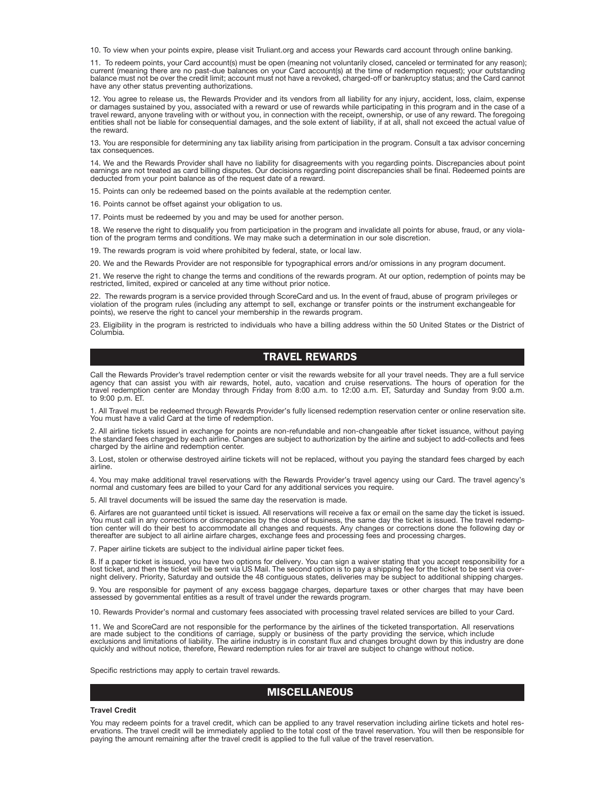10. To view when your points expire, please visit Truliant.org and access your Rewards card account through online banking.

11. To redeem points, your Card account(s) must be open (meaning not voluntarily closed, canceled or terminated for any reason); current (meaning there are no past-due balances on your Card account(s) at the time of redemption request); your outstanding balance must not be over the credit limit; account must not have a revoked, charged-off or bankruptcy status; and the Card cannot have any other status preventing authorizations.

12. You agree to release us, the Rewards Provider and its vendors from all liability for any injury, accident, loss, claim, expense<br>or damages sustained by you, associated with a reward or use of rewards while participatin travel reward, anyone traveling with or without you, in connection with the receipt, ownership, or use of any reward. The foregoing<br>entities shall not be liable for consequential damages, and the sole extent of liability, the reward.

13. You are responsible for determining any tax liability arising from participation in the program. Consult a tax advisor concerning tax consequences.

14. We and the Rewards Provider shall have no liability for disagreements with you regarding points. Discrepancies about point earnings are not treated as card billing disputes. Our decisions regarding point discrepancies shall be final. Redeemed points are deducted from your point balance as of the request date of a reward.

15. Points can only be redeemed based on the points available at the redemption center.

16. Points cannot be offset against your obligation to us.

17. Points must be redeemed by you and may be used for another person.

18. We reserve the right to disqualify you from participation in the program and invalidate all points for abuse, fraud, or any violation of the program terms and conditions. We may make such a determination in our sole discretion.

19. The rewards program is void where prohibited by federal, state, or local law.

20. We and the Rewards Provider are not responsible for typographical errors and/or omissions in any program document.

21. We reserve the right to change the terms and conditions of the rewards program. At our option, redemption of points may be restricted, limited, expired or canceled at any time without prior notice.

22. The rewards program is a service provided through ScoreCard and us. In the event of fraud, abuse of program privileges or violation of the program rules (including any attempt to sell, exchange or transfer points or the instrument exchangeable for points), we reserve the right to cancel your membership in the rewards program.

23. Eligibility in the program is restricted to individuals who have a billing address within the 50 United States or the District of Columbia.

### TRAVEL REWARDS

Call the Rewards Provider's travel redemption center or visit the rewards website for all your travel needs. They are a full service agency that can assist you with air rewards, hotel, auto, vacation and cruise reservations. The hours of operation for the<br>travel redemption center are Monday through Friday from 8:00 a.m. to 12:00 a.m. ET, Saturday and Su to 9:00 p.m. ET.

1. All Travel must be redeemed through Rewards Provider's fully licensed redemption reservation center or online reservation site. You must have a valid Card at the time of redemption.

2. All airline tickets issued in exchange for points are non-refundable and non-changeable after ticket issuance, without paying<br>the standard fees charged by each airline. Changes are subject to authorization by the airlin charged by the airline and redemption center.

3. Lost, stolen or otherwise destroyed airline tickets will not be replaced, without you paying the standard fees charged by each airline.

4. You may make additional travel reservations with the Rewards Provider's travel agency using our Card. The travel agency's normal and customary fees are billed to your Card for any additional services you require.

5. All travel documents will be issued the same day the reservation is made.

6. Airfares are not guaranteed until ticket is issued. All reservations will receive a fax or email on the same day the ticket is issued. You must call in any corrections or discrepancies by the close of business, the same day the ticket is issued. The travel redemp-<br>tion center will do their best to accommodate all changes and requests. Any changes or corre thereafter are subject to all airline airfare charges, exchange fees and processing fees and processing charges.

7. Paper airline tickets are subject to the individual airline paper ticket fees.

8. If a paper ticket is issued, you have two options for delivery. You can sign a waiver stating that you accept responsibility for a lost ticket, and then the ticket will be sent via US Mail. The second option is to pay a shipping fee for the ticket to be sent via overnight delivery. Priority, Saturday and outside the 48 contiguous states, deliveries may be subject to additional shipping charges.

9. You are responsible for payment of any excess baggage charges, departure taxes or other charges that may have been assessed by governmental entities as a result of travel under the rewards program.

10. Rewards Provider's normal and customary fees associated with processing travel related services are billed to your Card.

11. We and ScoreCard are not responsible for the performance by the airlines of the ticketed transportation. All reservations are made subject to the conditions of carriage, supply or business of the party providing the service, which include<br>exclusions and limitations of liability. The airline industry is in constant flux and changes brought dow

Specific restrictions may apply to certain travel rewards.

### **MISCELLANEOUS**

#### **Travel Credit**

You may redeem points for a travel credit, which can be applied to any travel reservation including airline tickets and hotel reservations. The travel credit will be immediately applied to the total cost of the travel reservation. You will then be responsible for paying the amount remaining after the travel credit is applied to the full value of the travel reservation.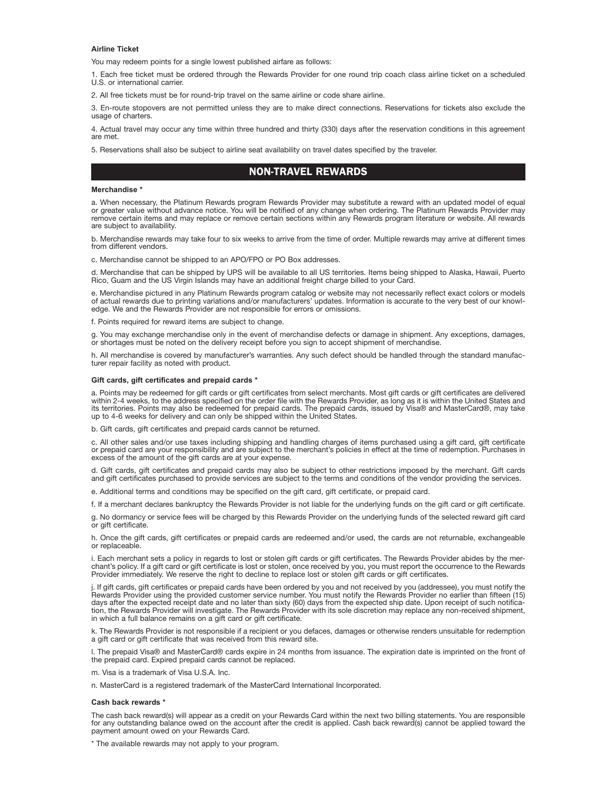### **Airline Ticket**

You may redeem points for a single lowest published airfare as follows:

1. Each free ticket must be ordered through the Rewards Provider for one round trip coach class airline ticket on a scheduled U.S. or international carrier.

2. All free tickets must be for round-trip travel on the same airline or code share airline.

3. En-route stopovers are not permitted unless they are to make direct connections. Reservations for tickets also exclude the usage of charters.

4. Actual travel may occur any time within three hundred and thirty (330) days after the reservation conditions in this agreement are met.

5. Reservations shall also be subject to airline seat availability on travel dates specified by the traveler.

## NON-TRAVEL REWARDS

### **Merchandise \***

a. When necessary, the Platinum Rewards program Rewards Provider may substitute a reward with an updated model of equal or greater value without advance notice. You will be notified of any change when ordering. The Platinum Rewards Provider may<br>remove certain items and may replace or remove certain sections within any Rewards program litera are subject to availability.

b. Merchandise rewards may take four to six weeks to arrive from the time of order. Multiple rewards may arrive at different times from different vendors.

c. Merchandise cannot be shipped to an APO/FPO or PO Box addresses.

d. Merchandise that can be shipped by UPS will be available to all US territories. Items being shipped to Alaska, Hawaii, Puerto Rico, Guam and the US Virgin Islands may have an additional freight charge billed to your Card.

e. Merchandise pictured in any Platinum Rewards program catalog or website may not necessarily reflect exact colors or models of actual rewards due to printing variations and/or manufacturers' updates. Information is accurate to the very best of our knowledge. We and the Rewards Provider are not responsible for errors or omissions.

f. Points required for reward items are subject to change.

g. You may exchange merchandise only in the event of merchandise defects or damage in shipment. Any exceptions, damages, or shortages must be noted on the delivery receipt before you sign to accept shipment of merchandise.

h. All merchandise is covered by manufacturer's warranties. Any such defect should be handled through the standard manufacturer repair facility as noted with product.

### **Gift cards, gift certificates and prepaid cards \***

a. Points may be redeemed for gift cards or gift certificates from select merchants. Most gift cards or gift certificates are delivered within 2-4 weeks, to the address specified on the order file with the Rewards Provider, as long as it is within the United States and its territories. Points may also be redeemed for prepaid cards. The prepaid cards, issued by Visa® and MasterCard®, may take up to 4-6 weeks for delivery and can only be shipped within the United States.

b. Gift cards, gift certificates and prepaid cards cannot be returne

c. All other sales and/or use taxes including shipping and handling charges of items purchased using a gift card, gift certificate or prepaid card are your responsibility and are subject to the merchant's policies in effect at the time of redemption. Purchases in excess of the amount of the gift cards are at your expense.

d. Gift cards, gift certificates and prepaid cards may also be subject to other restrictions imposed by the merchant. Gift cards<br>and gift certificates purchased to provide services are subject to the terms and conditions o

e. Additional terms and conditions may be specified on the gift card, gift certificate, or prepaid card.

f. If a merchant declares bankruptcy the Rewards Provider is not liable for the underlying funds on the gift card or gift certificate.

g. No dormancy or service fees will be charged by this Rewards Provider on the underlying funds of the selected reward gift card or gift certificate.

h. Once the gift cards, gift certificates or prepaid cards are redeemed and/or used, the cards are not returnable, exchangeable or replaceable.

i. Each merchant sets a policy in regards to lost or stolen gift cards or gift certificates. The Rewards Provider abides by the merchant's policy. If a gift card or gift certificate is lost or stolen, once received by you, you must report the occurrence to the Rewards Provider immediately. We reserve the right to decline to replace lost or stolen gift cards or gift certificates.

j. If gift cards, gift certificates or prepaid cards have been ordered by you and not received by you (addressee), you must notify the Rewards Provider using the provided customer service number. You must notify the Rewards Provider no earlier than fifteen (15)<br>days after the expected receipt date and no later than sixty (60) days from the expected ship d tion, the Rewards Provider will investigate. The Rewards Provider with its sole discretion may replace any non-received shipment, in which a full balance remains on a gift card or gift certificate.

k. The Rewards Provider is not responsible if a recipient or you defaces, damages or otherwise renders unsuitable for redemption a gift card or gift certificate that was received from this reward site.

l. The prepaid Visa® and MasterCard® cards expire in 24 months from issuance. The expiration date is imprinted on the front of the prepaid card. Expired prepaid cards cannot be replaced.

m. Visa is a trademark of Visa U.S.A. Inc.

n. MasterCard is a registered trademark of the MasterCard International Incorporated.

#### **Cash back rewards \***

The cash back reward(s) will appear as a credit on your Rewards Card within the next two billing statements. You are responsible for any outstanding balance owed on the account after the credit is applied. Cash back reward(s) cannot be applied toward the payment amount owed on your Rewards Card.

\* The available rewards may not apply to your program.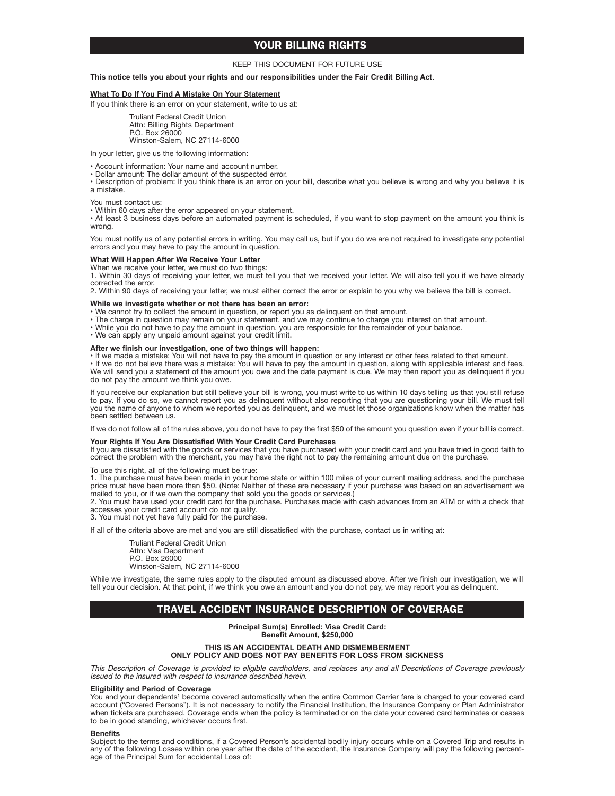## YOUR BILLING RIGHTS

### KEEP THIS DOCUMENT FOR FUTURE USE

### **This notice tells you about your rights and our responsibilities under the Fair Credit Billing Act.**

### **What To Do If You Find A Mistake On Your Statement**

If you think there is an error on your statement, write to us at:

Truliant Federal Credit Union Attn: Billing Rights Department P.O. Box 26000 Winston-Salem, NC 27114-6000

In your letter, give us the following information:

• Account information: Your name and account number.

• Dollar amount: The dollar amount of the suspected error.

• Description of problem: If you think there is an error on your bill, describe what you believe is wrong and why you believe it is a mistake.

You must contact us:

• Within 60 days after the error appeared on your statement.

• At least 3 business days before an automated payment is scheduled, if you want to stop payment on the amount you think is wrong.

You must notify us of any potential errors in writing. You may call us, but if you do we are not required to investigate any potential errors and you may have to pay the amount in question.

### **What Will Happen After We Receive Your Letter**

When we receive your letter, we must do two things:

1. Within 30 days of receiving your letter, we must tell you that we received your letter. We will also tell you if we have already corrected the error.

2. Within 90 days of receiving your letter, we must either correct the error or explain to you why we believe the bill is correct.

### **While we investigate whether or not there has been an error:**

• We cannot try to collect the amount in question, or report you as delinquent on that amount.

- The charge in question may remain on your statement, and we may continue to charge you interest on that amount.
- While you do not have to pay the amount in question, you are responsible for the remainder of your balance.
- We can apply any unpaid amount against your credit limit.

### **After we finish our investigation, one of two things will happen:**

• If we made a mistake: You will not have to pay the amount in question or any interest or other fees related to that amount.<br>• If we do not believe there was a mistake: You will have to pay the amount in question, along w We will send you a statement of the amount you owe and the date payment is due. We may then report you as delinquent if you do not pay the amount we think you owe.

If you receive our explanation but still believe your bill is wrong, you must write to us within 10 days telling us that you still refuse to pay. If you do so, we cannot report you as delinquent without also reporting that you are questioning your bill. We must tell you the name of anyone to whom we reported you as delinquent, and we must let those organizations know when the matter has been settled between us.

If we do not follow all of the rules above, you do not have to pay the first \$50 of the amount you question even if your bill is correct.

### **Your Rights If You Are Dissatisfied With Your Credit Card Purchases**

If you are dissatisfied with the goods or services that you have purchased with your credit card and you have tried in good faith to<br>correct the problem with the merchant, you may have the right not to pay the remaining am

To use this right, all of the following must be true:

1. The purchase must have been made in your home state or within 100 miles of your current mailing address, and the purchase price must have been more than \$50. (Note: Neither of these are necessary if your purchase was based on an advertisement we mailed to you, or if we own the company that sold you the goods or services.)

2. You must have used your credit card for the purchase. Purchases made with cash advances from an ATM or with a check that accesses your credit card account do not qualify.

3. You must not yet have fully paid for the purchase.

If all of the criteria above are met and you are still dissatisfied with the purchase, contact us in writing at:

Truliant Federal Credit Union Attn: Visa Department P.O. Box 26000 Winston-Salem, NC 27114-6000

While we investigate, the same rules apply to the disputed amount as discussed above. After we finish our investigation, we will tell you our decision. At that point, if we think you owe an amount and you do not pay, we may report you as delinquent.

## TRAVEL ACCIDENT INSURANCE DESCRIPTION OF COVERAGE

**Principal Sum(s) Enrolled: Visa Credit Card: Benefit Amount, \$250,000**

**THIS IS AN ACCIDENTAL DEATH AND DISMEMBERMENT ONLY POLICY AND DOES NOT PAY BENEFITS FOR LOSS FROM SICKNESS**

*This Description of Coverage is provided to eligible cardholders, and replaces any and all Descriptions of Coverage previously issued to the insured with respect to insurance described herein.*

### **Eligibility and Period of Coverage**

You and your dependents<sup>1</sup> become covered automatically when the entire Common Carrier fare is charged to your covered card account ("Covered Persons"). It is not necessary to notify the Financial Institution, the Insurance Company or Plan Administrator when tickets are purchased. Coverage ends when the policy is terminated or on the date your covered card terminates or ceases to be in good standing, whichever occurs first.

#### **Benefits**

Subject to the terms and conditions, if a Covered Person's accidental bodily injury occurs while on a Covered Trip and results in any of the following Losses within one year after the date of the accident, the Insurance Company will pay the following percent-age of the Principal Sum for accidental Loss of: